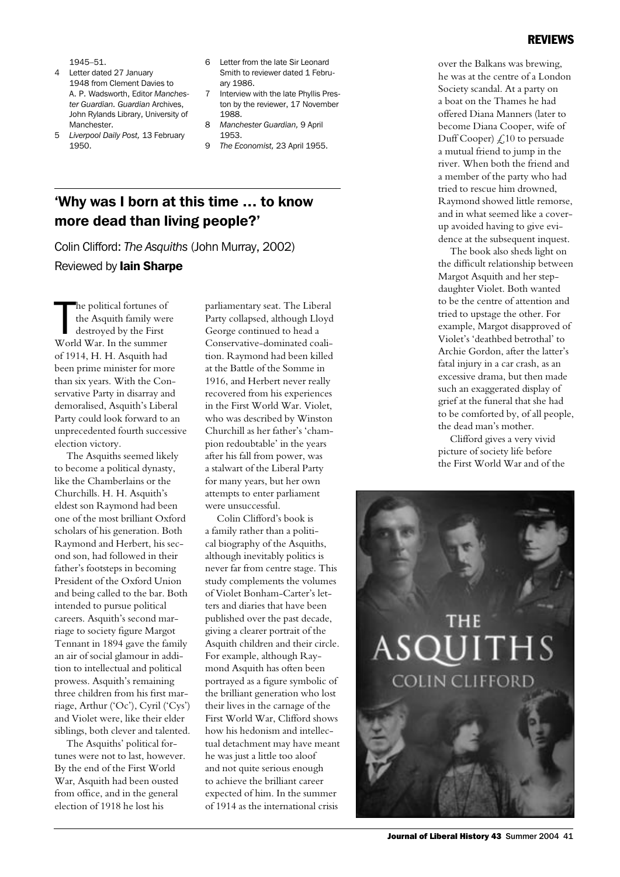#### REVIEWS

1945–51.

- 4 Letter dated 27 January 1948 from Clement Davies to A. P. Wadsworth, Editor *Manchester Guardian. Guardian* Archives, John Rylands Library, University of Manchester.
- 5 *Liverpool Daily Post,* 13 February 1950.
- 6 Letter from the late Sir Leonard Smith to reviewer dated 1 February 1986.
- 7 Interview with the late Phyllis Preston by the reviewer, 17 November 1988.
- 8 *Manchester Guardian,* 9 April 1953.
- 9 *The Economist,* 23 April 1955.

## 'Why was I born at this time … to know more dead than living people?'

Colin Clifford: *The Asquiths* (John Murray, 2002) Reviewed by Iain Sharpe

The political fortunes of<br>the Asquith family wer<br>destroyed by the First<br>World War. In the summer he political fortunes of the Asquith family were destroyed by the First of 1914, H. H. Asquith had been prime minister for more than six years. With the Conservative Party in disarray and demoralised, Asquith's Liberal Party could look forward to an unprecedented fourth successive election victory.

The Asquiths seemed likely to become a political dynasty, like the Chamberlains or the Churchills. H. H. Asquith's eldest son Raymond had been one of the most brilliant Oxford scholars of his generation. Both Raymond and Herbert, his second son, had followed in their father's footsteps in becoming President of the Oxford Union and being called to the bar. Both intended to pursue political careers. Asquith's second marriage to society figure Margot Tennant in 1894 gave the family an air of social glamour in addition to intellectual and political prowess. Asquith's remaining three children from his first marriage, Arthur ('Oc'), Cyril ('Cys') and Violet were, like their elder siblings, both clever and talented.

The Asquiths' political fortunes were not to last, however. By the end of the First World War, Asquith had been ousted from office, and in the general election of 1918 he lost his

parliamentary seat. The Liberal Party collapsed, although Lloyd George continued to head a Conservative-dominated coalition. Raymond had been killed at the Battle of the Somme in 1916, and Herbert never really recovered from his experiences in the First World War. Violet, who was described by Winston Churchill as her father's 'champion redoubtable' in the years after his fall from power, was a stalwart of the Liberal Party for many years, but her own attempts to enter parliament were unsuccessful.

Colin Clifford's book is a family rather than a political biography of the Asquiths, although inevitably politics is never far from centre stage. This study complements the volumes of Violet Bonham-Carter's letters and diaries that have been published over the past decade, giving a clearer portrait of the Asquith children and their circle. For example, although Raymond Asquith has often been portrayed as a figure symbolic of the brilliant generation who lost their lives in the carnage of the First World War, Clifford shows how his hedonism and intellectual detachment may have meant he was just a little too aloof and not quite serious enough to achieve the brilliant career expected of him. In the summer of 1914 as the international crisis

over the Balkans was brewing, he was at the centre of a London Society scandal. At a party on a boat on the Thames he had offered Diana Manners (later to become Diana Cooper, wife of Duff Cooper)  $\angle$  10 to persuade a mutual friend to jump in the river. When both the friend and a member of the party who had tried to rescue him drowned, Raymond showed little remorse, and in what seemed like a coverup avoided having to give evidence at the subsequent inquest.

The book also sheds light on the difficult relationship between Margot Asquith and her stepdaughter Violet. Both wanted to be the centre of attention and tried to upstage the other. For example, Margot disapproved of Violet's 'deathbed betrothal' to Archie Gordon, after the latter's fatal injury in a car crash, as an excessive drama, but then made such an exaggerated display of grief at the funeral that she had to be comforted by, of all people, the dead man's mother.

Clifford gives a very vivid picture of society life before the First World War and of the